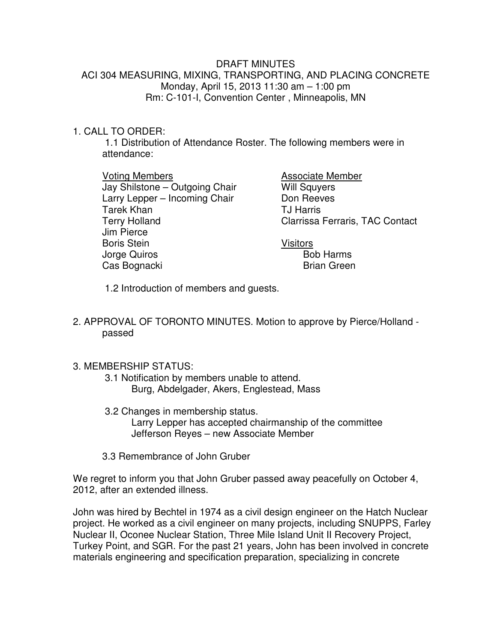## DRAFT MINUTES ACI 304 MEASURING, MIXING, TRANSPORTING, AND PLACING CONCRETE Monday, April 15, 2013 11:30 am – 1:00 pm Rm: C-101-I, Convention Center , Minneapolis, MN

## 1. CALL TO ORDER:

 1.1 Distribution of Attendance Roster. The following members were in attendance:

 Voting Members Jay Shilstone – Outgoing Chair Larry Lepper – Incoming Chair Tarek Khan Terry Holland Jim Pierce Boris Stein Jorge Quiros Cas Bognacki

Associate Member Will Squyers Don Reeves TJ Harris Clarrissa Ferraris, TAC Contact

Visitors Bob Harms Brian Green

1.2 Introduction of members and guests.

2. APPROVAL OF TORONTO MINUTES. Motion to approve by Pierce/Holland passed

## 3. MEMBERSHIP STATUS:

- 3.1 Notification by members unable to attend. Burg, Abdelgader, Akers, Englestead, Mass
- 3.2 Changes in membership status. Larry Lepper has accepted chairmanship of the committee Jefferson Reyes – new Associate Member
- 3.3 Remembrance of John Gruber

We regret to inform you that John Gruber passed away peacefully on October 4, 2012, after an extended illness.

John was hired by Bechtel in 1974 as a civil design engineer on the Hatch Nuclear project. He worked as a civil engineer on many projects, including SNUPPS, Farley Nuclear II, Oconee Nuclear Station, Three Mile Island Unit II Recovery Project, Turkey Point, and SGR. For the past 21 years, John has been involved in concrete materials engineering and specification preparation, specializing in concrete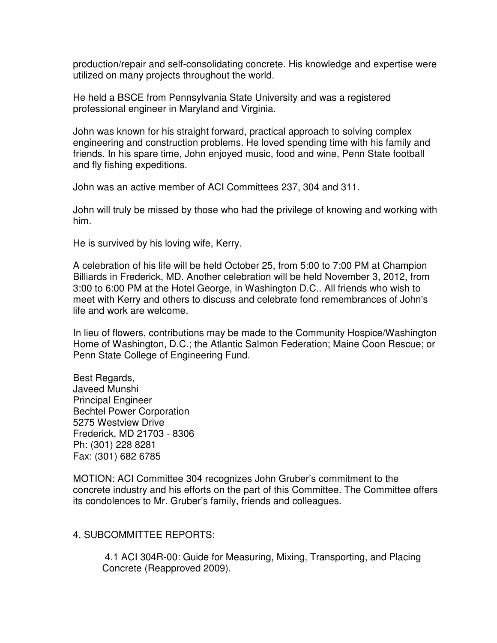production/repair and self-consolidating concrete. His knowledge and expertise were utilized on many projects throughout the world.

He held a BSCE from Pennsylvania State University and was a registered professional engineer in Maryland and Virginia.

John was known for his straight forward, practical approach to solving complex engineering and construction problems. He loved spending time with his family and friends. In his spare time, John enjoyed music, food and wine, Penn State football and fly fishing expeditions.

John was an active member of ACI Committees 237, 304 and 311.

John will truly be missed by those who had the privilege of knowing and working with him.

He is survived by his loving wife, Kerry.

A celebration of his life will be held October 25, from 5:00 to 7:00 PM at Champion Billiards in Frederick, MD. Another celebration will be held November 3, 2012, from 3:00 to 6:00 PM at the Hotel George, in Washington D.C.. All friends who wish to meet with Kerry and others to discuss and celebrate fond remembrances of John's life and work are welcome.

In lieu of flowers, contributions may be made to the Community Hospice/Washington Home of Washington, D.C.; the Atlantic Salmon Federation; Maine Coon Rescue; or Penn State College of Engineering Fund.

Best Regards, Javeed Munshi Principal Engineer Bechtel Power Corporation 5275 Westview Drive Frederick, MD 21703 - 8306 Ph: (301) 228 8281 Fax: (301) 682 6785

MOTION: ACI Committee 304 recognizes John Gruber's commitment to the concrete industry and his efforts on the part of this Committee. The Committee offers its condolences to Mr. Gruber's family, friends and colleagues.

4. SUBCOMMITTEE REPORTS:

 4.1 ACI 304R-00: Guide for Measuring, Mixing, Transporting, and Placing Concrete (Reapproved 2009).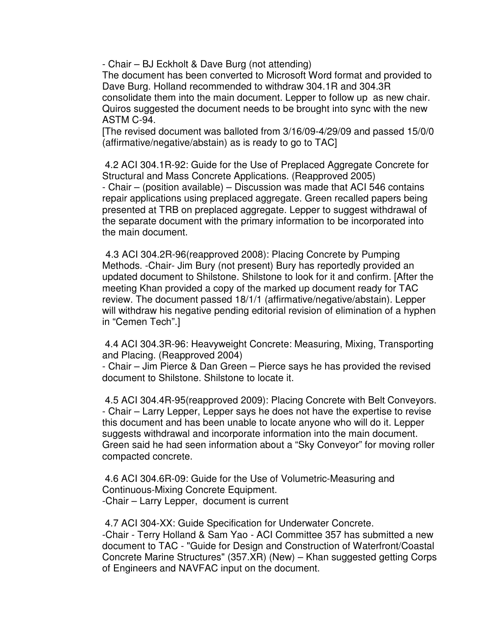- Chair – BJ Eckholt & Dave Burg (not attending)

The document has been converted to Microsoft Word format and provided to Dave Burg. Holland recommended to withdraw 304.1R and 304.3R consolidate them into the main document. Lepper to follow up as new chair. Quiros suggested the document needs to be brought into sync with the new ASTM C-94.

[The revised document was balloted from 3/16/09-4/29/09 and passed 15/0/0 (affirmative/negative/abstain) as is ready to go to TAC]

 4.2 ACI 304.1R-92: Guide for the Use of Preplaced Aggregate Concrete for Structural and Mass Concrete Applications. (Reapproved 2005) - Chair – (position available) – Discussion was made that ACI 546 contains repair applications using preplaced aggregate. Green recalled papers being presented at TRB on preplaced aggregate. Lepper to suggest withdrawal of the separate document with the primary information to be incorporated into the main document.

 4.3 ACI 304.2R-96(reapproved 2008): Placing Concrete by Pumping Methods. -Chair- Jim Bury (not present) Bury has reportedly provided an updated document to Shilstone. Shilstone to look for it and confirm. [After the meeting Khan provided a copy of the marked up document ready for TAC review. The document passed 18/1/1 (affirmative/negative/abstain). Lepper will withdraw his negative pending editorial revision of elimination of a hyphen in "Cemen Tech".]

 4.4 ACI 304.3R-96: Heavyweight Concrete: Measuring, Mixing, Transporting and Placing. (Reapproved 2004)

- Chair – Jim Pierce & Dan Green – Pierce says he has provided the revised document to Shilstone. Shilstone to locate it.

 4.5 ACI 304.4R-95(reapproved 2009): Placing Concrete with Belt Conveyors. - Chair – Larry Lepper, Lepper says he does not have the expertise to revise this document and has been unable to locate anyone who will do it. Lepper suggests withdrawal and incorporate information into the main document. Green said he had seen information about a "Sky Conveyor" for moving roller compacted concrete.

 4.6 ACI 304.6R-09: Guide for the Use of Volumetric-Measuring and Continuous-Mixing Concrete Equipment. -Chair – Larry Lepper, document is current

 4.7 ACI 304-XX: Guide Specification for Underwater Concrete. -Chair - Terry Holland & Sam Yao - ACI Committee 357 has submitted a new document to TAC - "Guide for Design and Construction of Waterfront/Coastal Concrete Marine Structures" (357.XR) (New) – Khan suggested getting Corps of Engineers and NAVFAC input on the document.